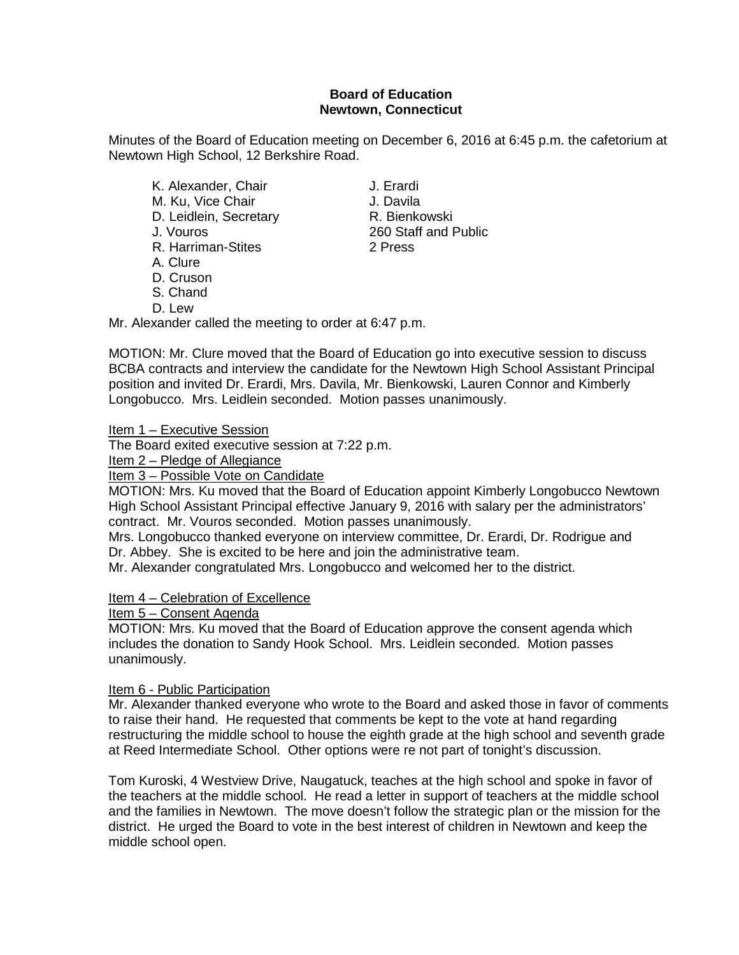## **Board of Education Newtown, Connecticut**

Minutes of the Board of Education meeting on December 6, 2016 at 6:45 p.m. the cafetorium at Newtown High School, 12 Berkshire Road.

- K. Alexander, Chair **J. Erardi** M. Ku, Vice Chair J. Davila<br>D. Leidlein, Secretary R. Bienkowski D. Leidlein, Secretary<br>J. Vouros R. Harriman-Stites
- A. Clure
- D. Cruson
- S. Chand
- D. Lew

Mr. Alexander called the meeting to order at 6:47 p.m.

MOTION: Mr. Clure moved that the Board of Education go into executive session to discuss BCBA contracts and interview the candidate for the Newtown High School Assistant Principal position and invited Dr. Erardi, Mrs. Davila, Mr. Bienkowski, Lauren Connor and Kimberly Longobucco. Mrs. Leidlein seconded. Motion passes unanimously.

Item 1 – Executive Session

The Board exited executive session at 7:22 p.m.

Item 2 – Pledge of Allegiance

Item 3 – Possible Vote on Candidate

MOTION: Mrs. Ku moved that the Board of Education appoint Kimberly Longobucco Newtown High School Assistant Principal effective January 9, 2016 with salary per the administrators' contract. Mr. Vouros seconded. Motion passes unanimously.

Mrs. Longobucco thanked everyone on interview committee, Dr. Erardi, Dr. Rodrigue and Dr. Abbey. She is excited to be here and join the administrative team.

Mr. Alexander congratulated Mrs. Longobucco and welcomed her to the district.

## Item 4 – Celebration of Excellence

Item 5 – Consent Agenda

MOTION: Mrs. Ku moved that the Board of Education approve the consent agenda which includes the donation to Sandy Hook School. Mrs. Leidlein seconded. Motion passes unanimously.

### Item 6 - Public Participation

Mr. Alexander thanked everyone who wrote to the Board and asked those in favor of comments to raise their hand. He requested that comments be kept to the vote at hand regarding restructuring the middle school to house the eighth grade at the high school and seventh grade at Reed Intermediate School. Other options were re not part of tonight's discussion.

Tom Kuroski, 4 Westview Drive, Naugatuck, teaches at the high school and spoke in favor of the teachers at the middle school. He read a letter in support of teachers at the middle school and the families in Newtown. The move doesn't follow the strategic plan or the mission for the district. He urged the Board to vote in the best interest of children in Newtown and keep the middle school open.

260 Staff and Public<br>2 Press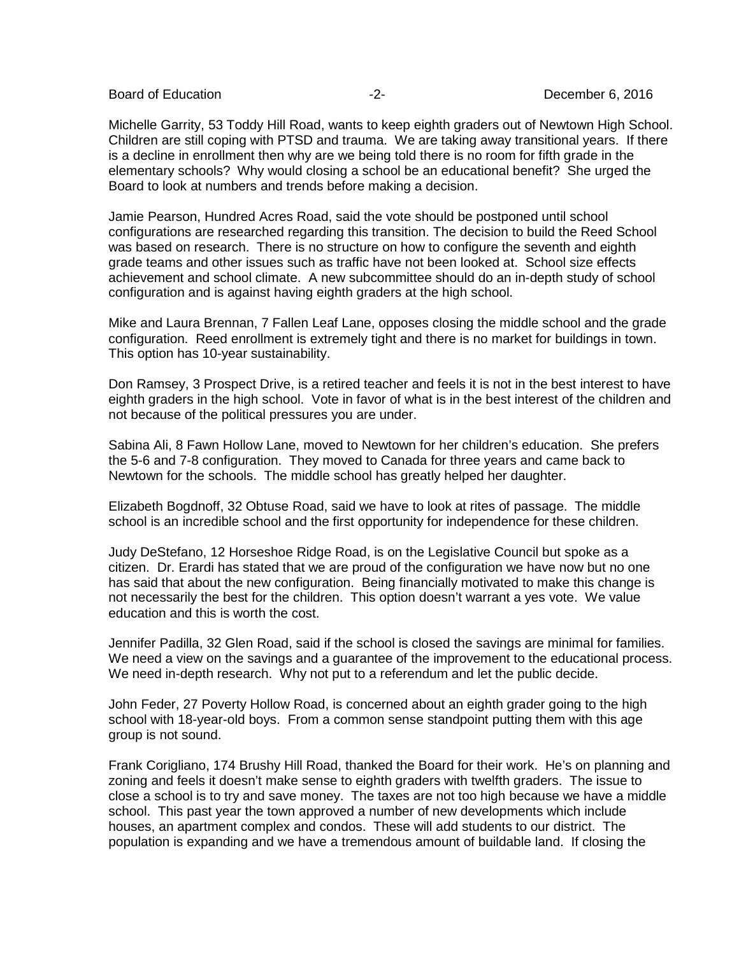Michelle Garrity, 53 Toddy Hill Road, wants to keep eighth graders out of Newtown High School. Children are still coping with PTSD and trauma. We are taking away transitional years. If there is a decline in enrollment then why are we being told there is no room for fifth grade in the elementary schools? Why would closing a school be an educational benefit? She urged the Board to look at numbers and trends before making a decision.

Jamie Pearson, Hundred Acres Road, said the vote should be postponed until school configurations are researched regarding this transition. The decision to build the Reed School was based on research. There is no structure on how to configure the seventh and eighth grade teams and other issues such as traffic have not been looked at. School size effects achievement and school climate. A new subcommittee should do an in-depth study of school configuration and is against having eighth graders at the high school.

Mike and Laura Brennan, 7 Fallen Leaf Lane, opposes closing the middle school and the grade configuration. Reed enrollment is extremely tight and there is no market for buildings in town. This option has 10-year sustainability.

Don Ramsey, 3 Prospect Drive, is a retired teacher and feels it is not in the best interest to have eighth graders in the high school. Vote in favor of what is in the best interest of the children and not because of the political pressures you are under.

Sabina Ali, 8 Fawn Hollow Lane, moved to Newtown for her children's education. She prefers the 5-6 and 7-8 configuration. They moved to Canada for three years and came back to Newtown for the schools. The middle school has greatly helped her daughter.

Elizabeth Bogdnoff, 32 Obtuse Road, said we have to look at rites of passage. The middle school is an incredible school and the first opportunity for independence for these children.

Judy DeStefano, 12 Horseshoe Ridge Road, is on the Legislative Council but spoke as a citizen. Dr. Erardi has stated that we are proud of the configuration we have now but no one has said that about the new configuration. Being financially motivated to make this change is not necessarily the best for the children. This option doesn't warrant a yes vote. We value education and this is worth the cost.

Jennifer Padilla, 32 Glen Road, said if the school is closed the savings are minimal for families. We need a view on the savings and a guarantee of the improvement to the educational process. We need in-depth research. Why not put to a referendum and let the public decide.

John Feder, 27 Poverty Hollow Road, is concerned about an eighth grader going to the high school with 18-year-old boys. From a common sense standpoint putting them with this age group is not sound.

Frank Corigliano, 174 Brushy Hill Road, thanked the Board for their work. He's on planning and zoning and feels it doesn't make sense to eighth graders with twelfth graders. The issue to close a school is to try and save money. The taxes are not too high because we have a middle school. This past year the town approved a number of new developments which include houses, an apartment complex and condos. These will add students to our district. The population is expanding and we have a tremendous amount of buildable land. If closing the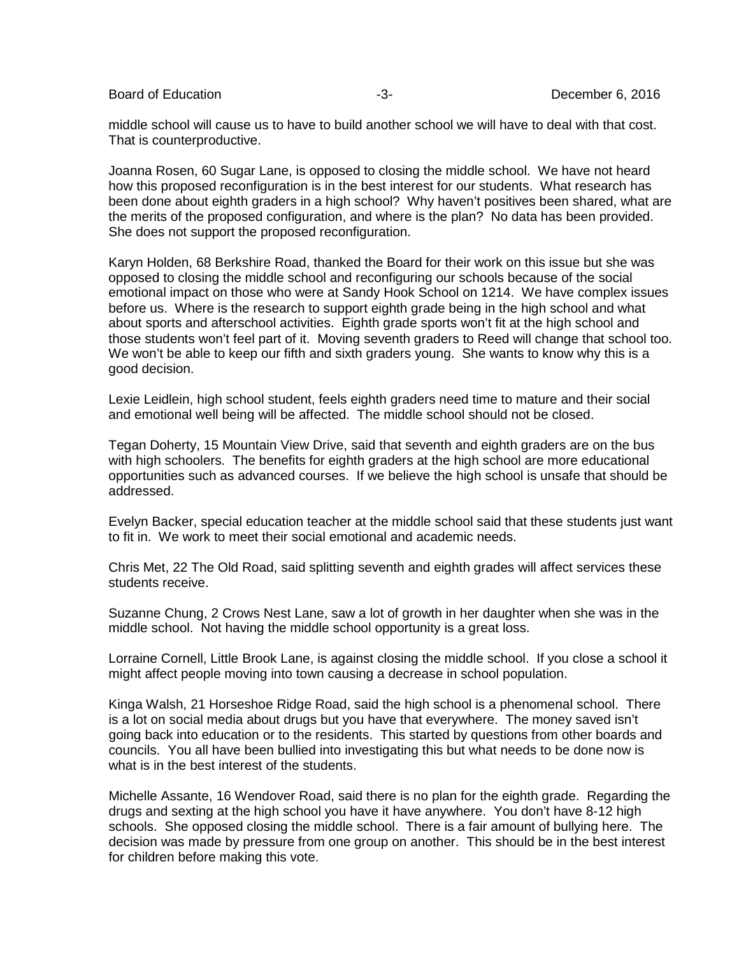Board of Education **Contract Contract Contract Contract Contract Contract Contract Contract Contract Contract Contract Contract Contract Contract Contract Contract Contract Contract Contract Contract Contract Contract Cont** 

middle school will cause us to have to build another school we will have to deal with that cost. That is counterproductive.

Joanna Rosen, 60 Sugar Lane, is opposed to closing the middle school. We have not heard how this proposed reconfiguration is in the best interest for our students. What research has been done about eighth graders in a high school? Why haven't positives been shared, what are the merits of the proposed configuration, and where is the plan? No data has been provided. She does not support the proposed reconfiguration.

Karyn Holden, 68 Berkshire Road, thanked the Board for their work on this issue but she was opposed to closing the middle school and reconfiguring our schools because of the social emotional impact on those who were at Sandy Hook School on 1214. We have complex issues before us. Where is the research to support eighth grade being in the high school and what about sports and afterschool activities. Eighth grade sports won't fit at the high school and those students won't feel part of it. Moving seventh graders to Reed will change that school too. We won't be able to keep our fifth and sixth graders young. She wants to know why this is a good decision.

Lexie Leidlein, high school student, feels eighth graders need time to mature and their social and emotional well being will be affected. The middle school should not be closed.

Tegan Doherty, 15 Mountain View Drive, said that seventh and eighth graders are on the bus with high schoolers. The benefits for eighth graders at the high school are more educational opportunities such as advanced courses. If we believe the high school is unsafe that should be addressed.

Evelyn Backer, special education teacher at the middle school said that these students just want to fit in. We work to meet their social emotional and academic needs.

Chris Met, 22 The Old Road, said splitting seventh and eighth grades will affect services these students receive.

Suzanne Chung, 2 Crows Nest Lane, saw a lot of growth in her daughter when she was in the middle school. Not having the middle school opportunity is a great loss.

Lorraine Cornell, Little Brook Lane, is against closing the middle school. If you close a school it might affect people moving into town causing a decrease in school population.

Kinga Walsh, 21 Horseshoe Ridge Road, said the high school is a phenomenal school. There is a lot on social media about drugs but you have that everywhere. The money saved isn't going back into education or to the residents. This started by questions from other boards and councils. You all have been bullied into investigating this but what needs to be done now is what is in the best interest of the students.

Michelle Assante, 16 Wendover Road, said there is no plan for the eighth grade. Regarding the drugs and sexting at the high school you have it have anywhere. You don't have 8-12 high schools. She opposed closing the middle school. There is a fair amount of bullying here. The decision was made by pressure from one group on another. This should be in the best interest for children before making this vote.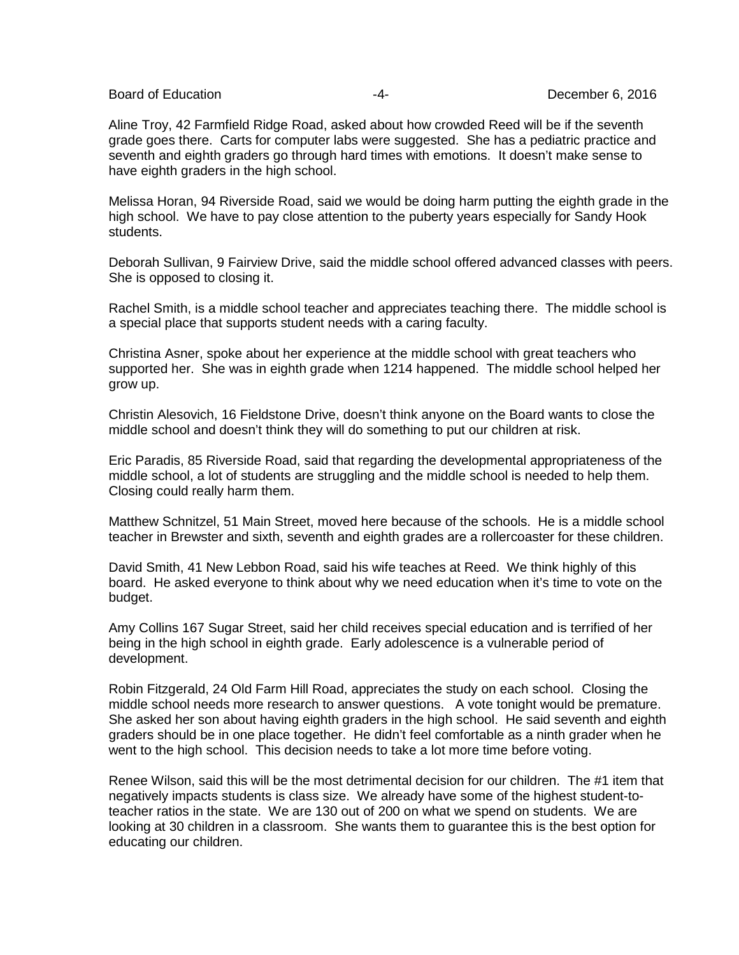Board of Education **Contract Contract Contract Contract Contract Contract Contract Contract Contract Contract Contract Contract Contract Contract Contract Contract Contract Contract Contract Contract Contract Contract Cont** 

Aline Troy, 42 Farmfield Ridge Road, asked about how crowded Reed will be if the seventh grade goes there. Carts for computer labs were suggested. She has a pediatric practice and seventh and eighth graders go through hard times with emotions. It doesn't make sense to have eighth graders in the high school.

Melissa Horan, 94 Riverside Road, said we would be doing harm putting the eighth grade in the high school. We have to pay close attention to the puberty years especially for Sandy Hook students.

Deborah Sullivan, 9 Fairview Drive, said the middle school offered advanced classes with peers. She is opposed to closing it.

Rachel Smith, is a middle school teacher and appreciates teaching there. The middle school is a special place that supports student needs with a caring faculty.

Christina Asner, spoke about her experience at the middle school with great teachers who supported her. She was in eighth grade when 1214 happened. The middle school helped her grow up.

Christin Alesovich, 16 Fieldstone Drive, doesn't think anyone on the Board wants to close the middle school and doesn't think they will do something to put our children at risk.

Eric Paradis, 85 Riverside Road, said that regarding the developmental appropriateness of the middle school, a lot of students are struggling and the middle school is needed to help them. Closing could really harm them.

Matthew Schnitzel, 51 Main Street, moved here because of the schools. He is a middle school teacher in Brewster and sixth, seventh and eighth grades are a rollercoaster for these children.

David Smith, 41 New Lebbon Road, said his wife teaches at Reed. We think highly of this board. He asked everyone to think about why we need education when it's time to vote on the budget.

Amy Collins 167 Sugar Street, said her child receives special education and is terrified of her being in the high school in eighth grade. Early adolescence is a vulnerable period of development.

Robin Fitzgerald, 24 Old Farm Hill Road, appreciates the study on each school. Closing the middle school needs more research to answer questions. A vote tonight would be premature. She asked her son about having eighth graders in the high school. He said seventh and eighth graders should be in one place together. He didn't feel comfortable as a ninth grader when he went to the high school. This decision needs to take a lot more time before voting.

Renee Wilson, said this will be the most detrimental decision for our children. The #1 item that negatively impacts students is class size. We already have some of the highest student-toteacher ratios in the state. We are 130 out of 200 on what we spend on students. We are looking at 30 children in a classroom. She wants them to guarantee this is the best option for educating our children.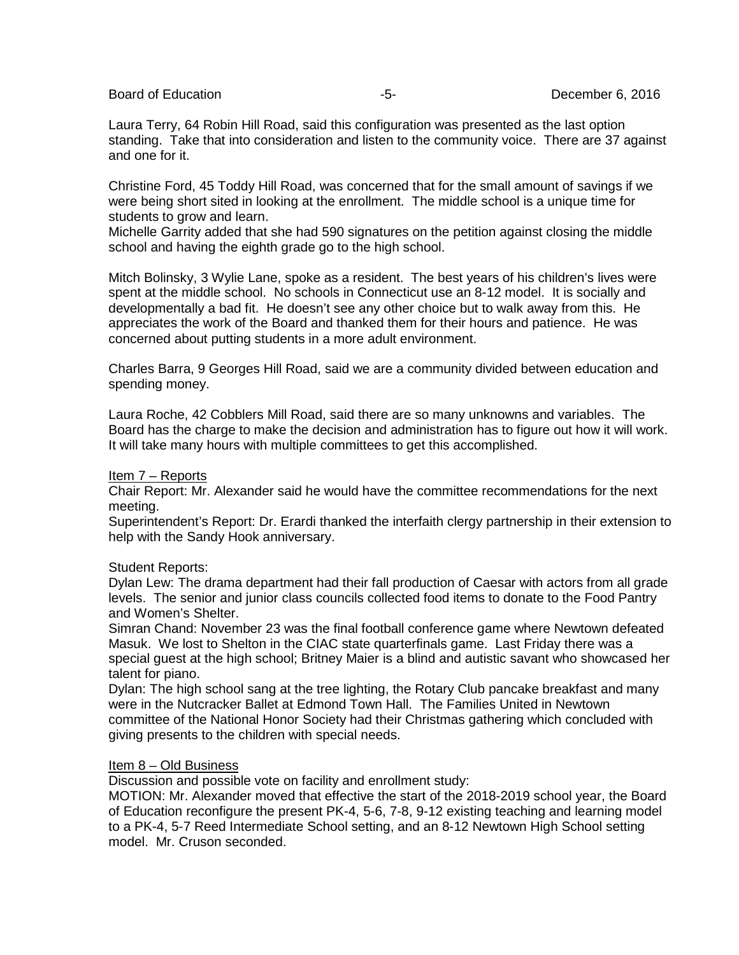Board of Education **-5-** All the setting of Education and the setting of the setting of the setting of the setting of the setting of the setting of the setting of the setting of the setting of the setting of the setting of

Laura Terry, 64 Robin Hill Road, said this configuration was presented as the last option standing. Take that into consideration and listen to the community voice. There are 37 against and one for it.

Christine Ford, 45 Toddy Hill Road, was concerned that for the small amount of savings if we were being short sited in looking at the enrollment. The middle school is a unique time for students to grow and learn.

Michelle Garrity added that she had 590 signatures on the petition against closing the middle school and having the eighth grade go to the high school.

Mitch Bolinsky, 3 Wylie Lane, spoke as a resident. The best years of his children's lives were spent at the middle school. No schools in Connecticut use an 8-12 model. It is socially and developmentally a bad fit. He doesn't see any other choice but to walk away from this. He appreciates the work of the Board and thanked them for their hours and patience. He was concerned about putting students in a more adult environment.

Charles Barra, 9 Georges Hill Road, said we are a community divided between education and spending money.

Laura Roche, 42 Cobblers Mill Road, said there are so many unknowns and variables. The Board has the charge to make the decision and administration has to figure out how it will work. It will take many hours with multiple committees to get this accomplished.

#### Item 7 – Reports

Chair Report: Mr. Alexander said he would have the committee recommendations for the next meeting.

Superintendent's Report: Dr. Erardi thanked the interfaith clergy partnership in their extension to help with the Sandy Hook anniversary.

#### Student Reports:

Dylan Lew: The drama department had their fall production of Caesar with actors from all grade levels. The senior and junior class councils collected food items to donate to the Food Pantry and Women's Shelter.

Simran Chand: November 23 was the final football conference game where Newtown defeated Masuk. We lost to Shelton in the CIAC state quarterfinals game. Last Friday there was a special guest at the high school; Britney Maier is a blind and autistic savant who showcased her talent for piano.

Dylan: The high school sang at the tree lighting, the Rotary Club pancake breakfast and many were in the Nutcracker Ballet at Edmond Town Hall. The Families United in Newtown committee of the National Honor Society had their Christmas gathering which concluded with giving presents to the children with special needs.

#### Item 8 – Old Business

Discussion and possible vote on facility and enrollment study:

MOTION: Mr. Alexander moved that effective the start of the 2018-2019 school year, the Board of Education reconfigure the present PK-4, 5-6, 7-8, 9-12 existing teaching and learning model to a PK-4, 5-7 Reed Intermediate School setting, and an 8-12 Newtown High School setting model. Mr. Cruson seconded.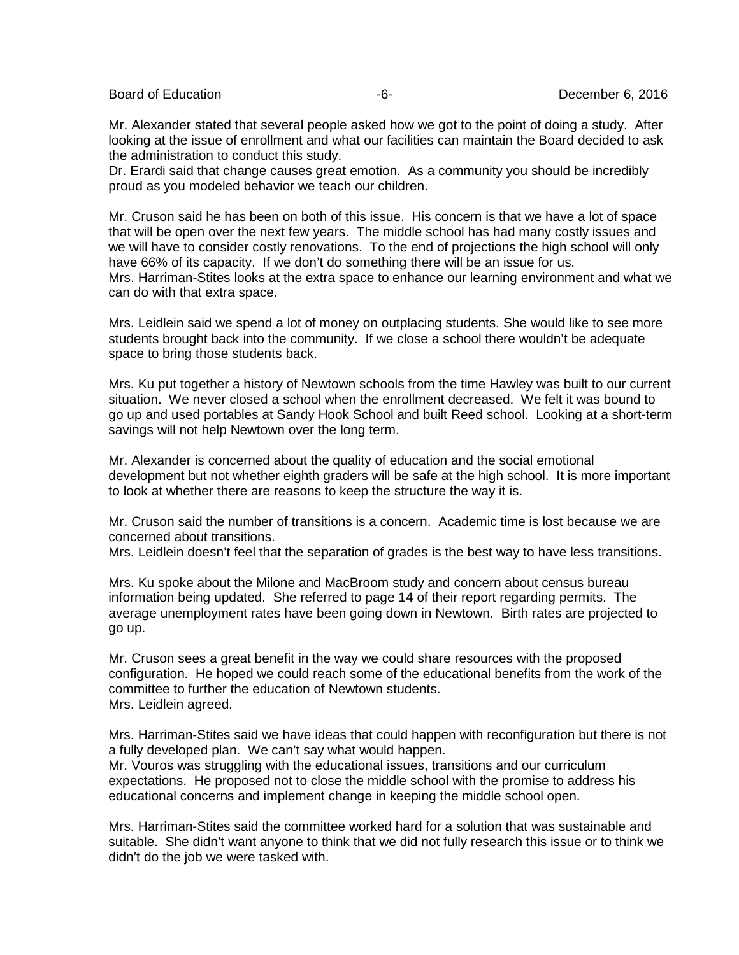Board of Education  $-6 -6-$  December 6, 2016

Mr. Alexander stated that several people asked how we got to the point of doing a study. After looking at the issue of enrollment and what our facilities can maintain the Board decided to ask the administration to conduct this study.

Dr. Erardi said that change causes great emotion. As a community you should be incredibly proud as you modeled behavior we teach our children.

Mr. Cruson said he has been on both of this issue. His concern is that we have a lot of space that will be open over the next few years. The middle school has had many costly issues and we will have to consider costly renovations. To the end of projections the high school will only have 66% of its capacity. If we don't do something there will be an issue for us. Mrs. Harriman-Stites looks at the extra space to enhance our learning environment and what we can do with that extra space.

Mrs. Leidlein said we spend a lot of money on outplacing students. She would like to see more students brought back into the community. If we close a school there wouldn't be adequate space to bring those students back.

Mrs. Ku put together a history of Newtown schools from the time Hawley was built to our current situation. We never closed a school when the enrollment decreased. We felt it was bound to go up and used portables at Sandy Hook School and built Reed school. Looking at a short-term savings will not help Newtown over the long term.

Mr. Alexander is concerned about the quality of education and the social emotional development but not whether eighth graders will be safe at the high school. It is more important to look at whether there are reasons to keep the structure the way it is.

Mr. Cruson said the number of transitions is a concern. Academic time is lost because we are concerned about transitions.

Mrs. Leidlein doesn't feel that the separation of grades is the best way to have less transitions.

Mrs. Ku spoke about the Milone and MacBroom study and concern about census bureau information being updated. She referred to page 14 of their report regarding permits. The average unemployment rates have been going down in Newtown. Birth rates are projected to go up.

Mr. Cruson sees a great benefit in the way we could share resources with the proposed configuration. He hoped we could reach some of the educational benefits from the work of the committee to further the education of Newtown students. Mrs. Leidlein agreed.

Mrs. Harriman-Stites said we have ideas that could happen with reconfiguration but there is not a fully developed plan. We can't say what would happen.

Mr. Vouros was struggling with the educational issues, transitions and our curriculum expectations. He proposed not to close the middle school with the promise to address his educational concerns and implement change in keeping the middle school open.

Mrs. Harriman-Stites said the committee worked hard for a solution that was sustainable and suitable. She didn't want anyone to think that we did not fully research this issue or to think we didn't do the job we were tasked with.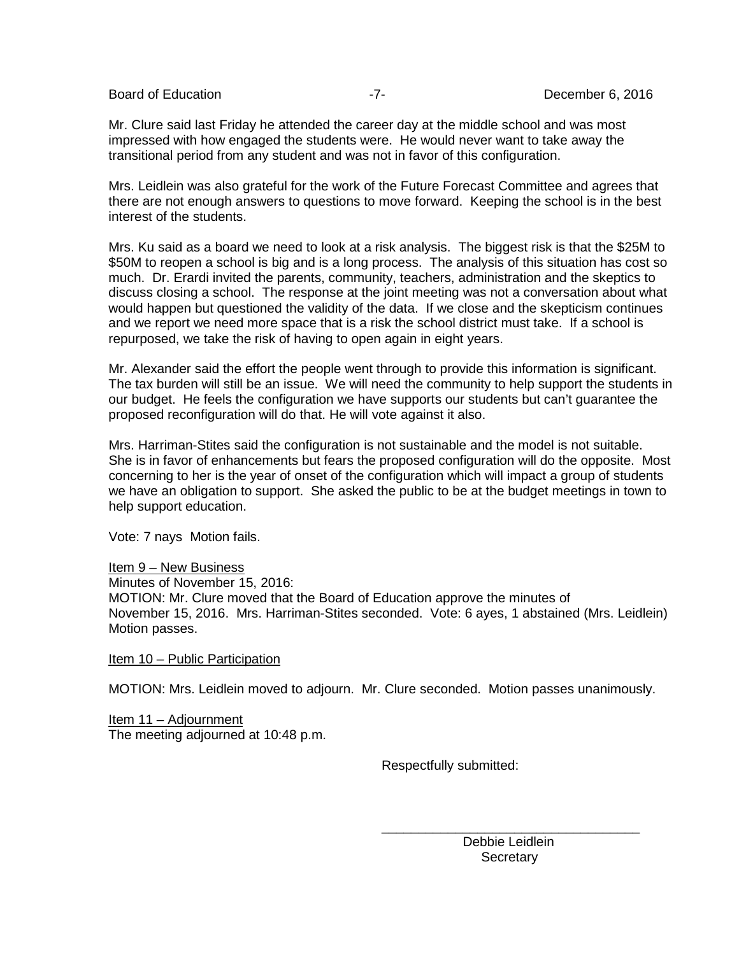Board of Education **-7-** Figure -7- Board of Education **-7-** December 6, 2016

Mr. Clure said last Friday he attended the career day at the middle school and was most impressed with how engaged the students were. He would never want to take away the transitional period from any student and was not in favor of this configuration.

Mrs. Leidlein was also grateful for the work of the Future Forecast Committee and agrees that there are not enough answers to questions to move forward. Keeping the school is in the best interest of the students.

Mrs. Ku said as a board we need to look at a risk analysis. The biggest risk is that the \$25M to \$50M to reopen a school is big and is a long process. The analysis of this situation has cost so much. Dr. Erardi invited the parents, community, teachers, administration and the skeptics to discuss closing a school. The response at the joint meeting was not a conversation about what would happen but questioned the validity of the data. If we close and the skepticism continues and we report we need more space that is a risk the school district must take. If a school is repurposed, we take the risk of having to open again in eight years.

Mr. Alexander said the effort the people went through to provide this information is significant. The tax burden will still be an issue. We will need the community to help support the students in our budget. He feels the configuration we have supports our students but can't guarantee the proposed reconfiguration will do that. He will vote against it also.

Mrs. Harriman-Stites said the configuration is not sustainable and the model is not suitable. She is in favor of enhancements but fears the proposed configuration will do the opposite. Most concerning to her is the year of onset of the configuration which will impact a group of students we have an obligation to support. She asked the public to be at the budget meetings in town to help support education.

Vote: 7 nays Motion fails.

Item 9 – New Business

Minutes of November 15, 2016: MOTION: Mr. Clure moved that the Board of Education approve the minutes of November 15, 2016. Mrs. Harriman-Stites seconded. Vote: 6 ayes, 1 abstained (Mrs. Leidlein) Motion passes.

Item 10 – Public Participation

MOTION: Mrs. Leidlein moved to adjourn. Mr. Clure seconded. Motion passes unanimously.

 $\overline{\phantom{a}}$  , and the contract of the contract of the contract of the contract of the contract of the contract of the contract of the contract of the contract of the contract of the contract of the contract of the contrac

Item 11 – Adjournment The meeting adjourned at 10:48 p.m.

Respectfully submitted:

 Debbie Leidlein **Secretary**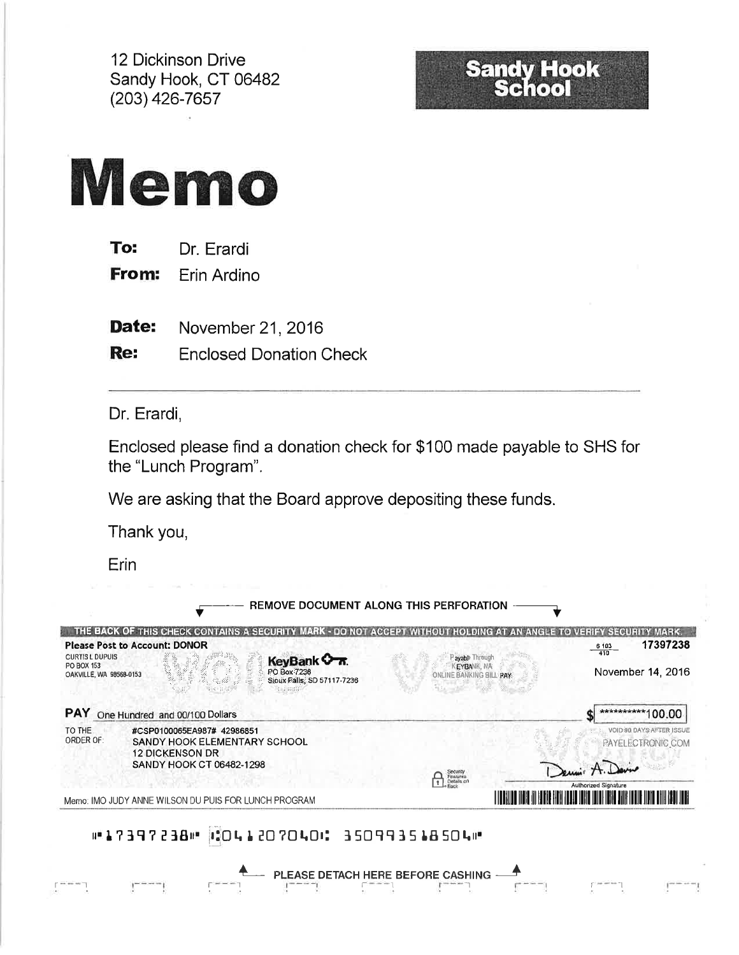12 Dickinson Drive Sandy Hook, CT 06482 (203) 426-7657

# **Sandy Hook**<br>School



| To: | Dr. Erardi |
|-----|------------|
|-----|------------|

From: Erin Ardino

Date: November 21, 2016

Re: **Enclosed Donation Check** 

Dr. Erardi,

Enclosed please find a donation check for \$100 made payable to SHS for the "Lunch Program".

We are asking that the Board approve depositing these funds.

Thank you,

Erin

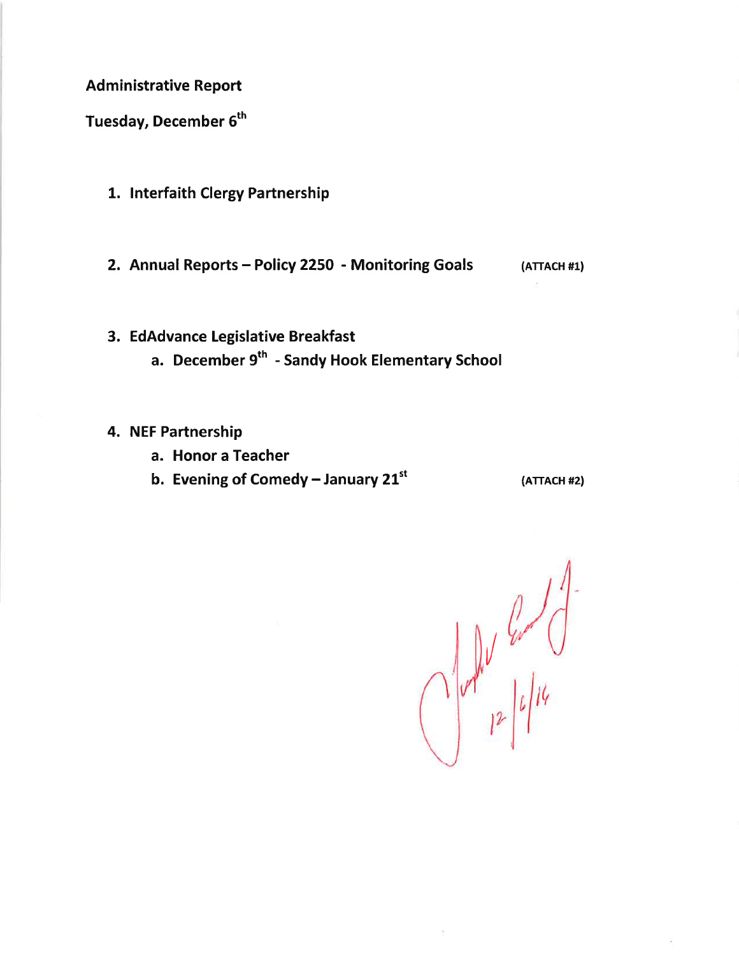**Administrative Report** 

Tuesday, December 6<sup>th</sup>

- 1. Interfaith Clergy Partnership
- 2. Annual Reports Policy 2250 Monitoring Goals

 $(ATTACH #1)$ 

- 3. EdAdvance Legislative Breakfast
	- a. December 9<sup>th</sup> Sandy Hook Elementary School

## 4. NEF Partnership

- a. Honor a Teacher
- b. Evening of Comedy January  $21^{st}$

 $(ATTACH #2)$ 

 $\int_0^1 u \, du \, du \, du$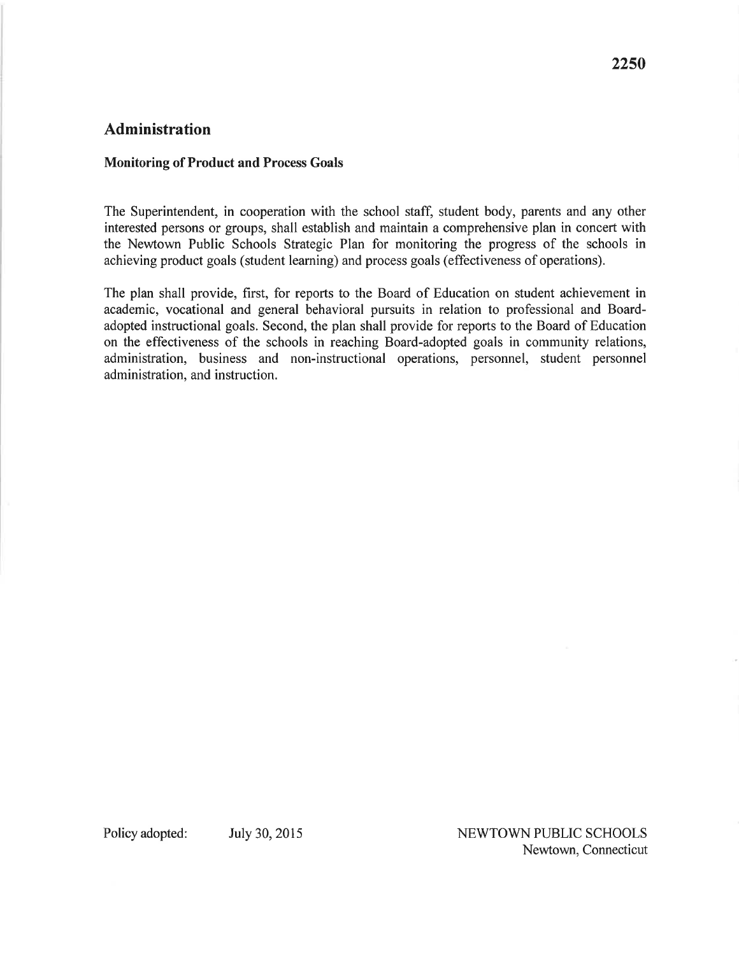# **Administration**

#### **Monitoring of Product and Process Goals**

The Superintendent, in cooperation with the school staff, student body, parents and any other interested persons or groups, shall establish and maintain a comprehensive plan in concert with the Newtown Public Schools Strategic Plan for monitoring the progress of the schools in achieving product goals (student learning) and process goals (effectiveness of operations).

The plan shall provide, first, for reports to the Board of Education on student achievement in academic, vocational and general behavioral pursuits in relation to professional and Boardadopted instructional goals. Second, the plan shall provide for reports to the Board of Education on the effectiveness of the schools in reaching Board-adopted goals in community relations, administration, business and non-instructional operations, personnel, student personnel administration, and instruction.

Policy adopted:

July 30, 2015

NEWTOWN PUBLIC SCHOOLS Newtown, Connecticut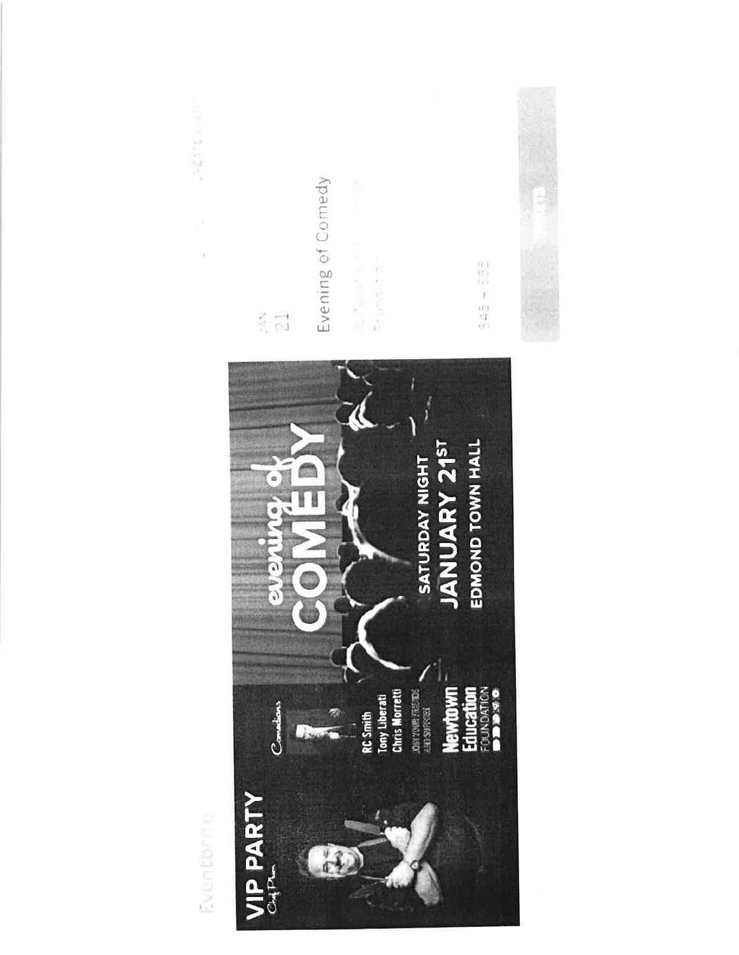Evening of Comedy ïK by Navy Car **By DISTRY OF** 5951595  $\frac{2}{3}$   $\frac{-1}{\sqrt{3}}$ EDMOND TOWN HALL JANUARY 21ST SATURDAY NIGHT  $\overline{\phantom{a}}$  $\frac{1}{\alpha}$ 7)  $\widehat{G}$ RC Smith<br>Tony Liberati<br>Chris Morretti **DEN VOIR FREE COS Newtown**<br>Education Constians  $\mathbf{r}$ a i **VIP PARTY** Eventbrite  $\bigcirc$ 

**Contract Business**